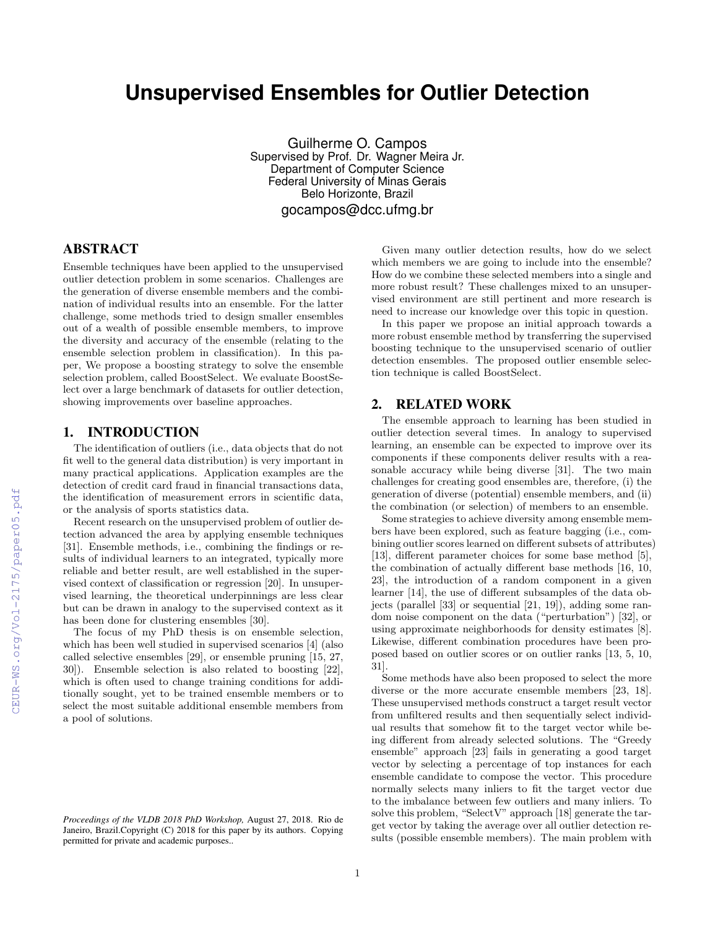# **Unsupervised Ensembles for Outlier Detection**

Guilherme O. Campos Supervised by Prof. Dr. Wagner Meira Jr. Department of Computer Science Federal University of Minas Gerais Belo Horizonte, Brazil gocampos@dcc.ufmg.br

# ABSTRACT

Ensemble techniques have been applied to the unsupervised outlier detection problem in some scenarios. Challenges are the generation of diverse ensemble members and the combination of individual results into an ensemble. For the latter challenge, some methods tried to design smaller ensembles out of a wealth of possible ensemble members, to improve the diversity and accuracy of the ensemble (relating to the ensemble selection problem in classification). In this paper, We propose a boosting strategy to solve the ensemble selection problem, called BoostSelect. We evaluate BoostSelect over a large benchmark of datasets for outlier detection, showing improvements over baseline approaches.

## 1. INTRODUCTION

The identification of outliers (i.e., data objects that do not fit well to the general data distribution) is very important in many practical applications. Application examples are the detection of credit card fraud in financial transactions data, the identification of measurement errors in scientific data, or the analysis of sports statistics data.

Recent research on the unsupervised problem of outlier detection advanced the area by applying ensemble techniques [31]. Ensemble methods, i.e., combining the findings or results of individual learners to an integrated, typically more reliable and better result, are well established in the supervised context of classification or regression [20]. In unsupervised learning, the theoretical underpinnings are less clear but can be drawn in analogy to the supervised context as it has been done for clustering ensembles [30].

The focus of my PhD thesis is on ensemble selection, which has been well studied in supervised scenarios [4] (also called selective ensembles [29], or ensemble pruning [15, 27, 30]). Ensemble selection is also related to boosting [22], which is often used to change training conditions for additionally sought, yet to be trained ensemble members or to select the most suitable additional ensemble members from a pool of solutions.

Given many outlier detection results, how do we select which members we are going to include into the ensemble? How do we combine these selected members into a single and more robust result? These challenges mixed to an unsupervised environment are still pertinent and more research is need to increase our knowledge over this topic in question.

In this paper we propose an initial approach towards a more robust ensemble method by transferring the supervised boosting technique to the unsupervised scenario of outlier detection ensembles. The proposed outlier ensemble selection technique is called BoostSelect.

## 2. RELATED WORK

The ensemble approach to learning has been studied in outlier detection several times. In analogy to supervised learning, an ensemble can be expected to improve over its components if these components deliver results with a reasonable accuracy while being diverse [31]. The two main challenges for creating good ensembles are, therefore, (i) the generation of diverse (potential) ensemble members, and (ii) the combination (or selection) of members to an ensemble.

Some strategies to achieve diversity among ensemble members have been explored, such as feature bagging (i.e., combining outlier scores learned on different subsets of attributes) [13], different parameter choices for some base method [5], the combination of actually different base methods [16, 10, 23], the introduction of a random component in a given learner [14], the use of different subsamples of the data objects (parallel [33] or sequential [21, 19]), adding some random noise component on the data ("perturbation") [32], or using approximate neighborhoods for density estimates [8]. Likewise, different combination procedures have been proposed based on outlier scores or on outlier ranks [13, 5, 10, 31].

Some methods have also been proposed to select the more diverse or the more accurate ensemble members [23, 18]. These unsupervised methods construct a target result vector from unfiltered results and then sequentially select individual results that somehow fit to the target vector while being different from already selected solutions. The "Greedy ensemble" approach [23] fails in generating a good target vector by selecting a percentage of top instances for each ensemble candidate to compose the vector. This procedure normally selects many inliers to fit the target vector due to the imbalance between few outliers and many inliers. To solve this problem, "SelectV" approach [18] generate the target vector by taking the average over all outlier detection results (possible ensemble members). The main problem with

*Proceedings of the VLDB 2018 PhD Workshop,* August 27, 2018. Rio de Janeiro, Brazil.Copyright (C) 2018 for this paper by its authors. Copying permitted for private and academic purposes..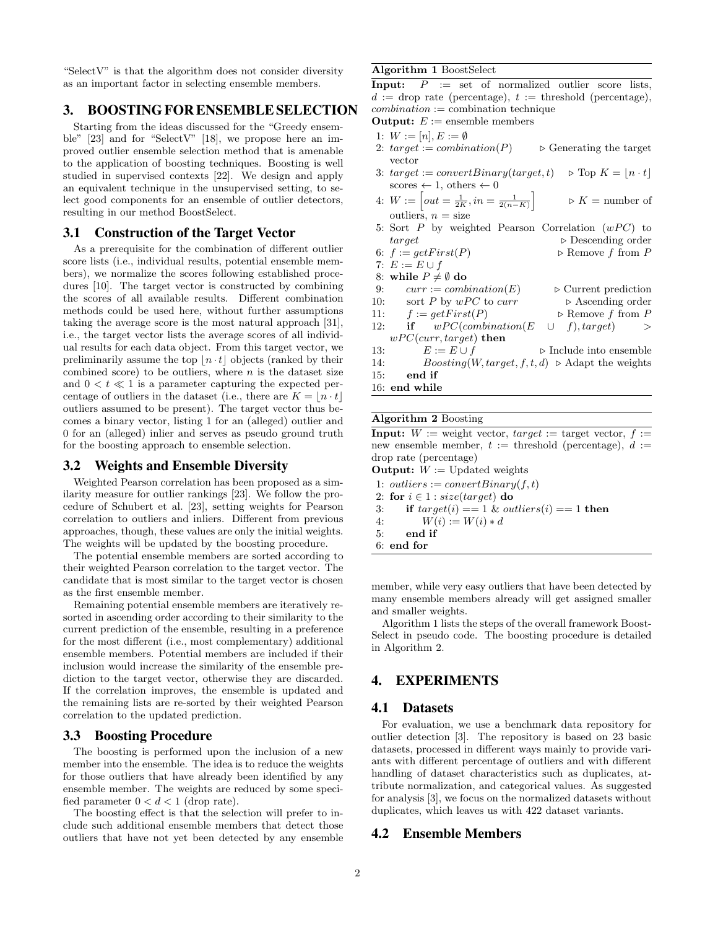"SelectV" is that the algorithm does not consider diversity as an important factor in selecting ensemble members.

## 3. BOOSTING FOR ENSEMBLE SELECTION

Starting from the ideas discussed for the "Greedy ensemble" [23] and for "SelectV" [18], we propose here an improved outlier ensemble selection method that is amenable to the application of boosting techniques. Boosting is well studied in supervised contexts [22]. We design and apply an equivalent technique in the unsupervised setting, to select good components for an ensemble of outlier detectors, resulting in our method BoostSelect.

## 3.1 Construction of the Target Vector

As a prerequisite for the combination of different outlier score lists (i.e., individual results, potential ensemble members), we normalize the scores following established procedures [10]. The target vector is constructed by combining the scores of all available results. Different combination methods could be used here, without further assumptions taking the average score is the most natural approach [31], i.e., the target vector lists the average scores of all individual results for each data object. From this target vector, we preliminarily assume the top  $\lfloor n \cdot t \rfloor$  objects (ranked by their combined score) to be outliers, where  $n$  is the dataset size and  $0 < t \ll 1$  is a parameter capturing the expected percentage of outliers in the dataset (i.e., there are  $K = \lfloor n \cdot t \rfloor$ outliers assumed to be present). The target vector thus becomes a binary vector, listing 1 for an (alleged) outlier and 0 for an (alleged) inlier and serves as pseudo ground truth for the boosting approach to ensemble selection.

#### 3.2 Weights and Ensemble Diversity

Weighted Pearson correlation has been proposed as a similarity measure for outlier rankings [23]. We follow the procedure of Schubert et al. [23], setting weights for Pearson correlation to outliers and inliers. Different from previous approaches, though, these values are only the initial weights. The weights will be updated by the boosting procedure.

The potential ensemble members are sorted according to their weighted Pearson correlation to the target vector. The candidate that is most similar to the target vector is chosen as the first ensemble member.

Remaining potential ensemble members are iteratively resorted in ascending order according to their similarity to the current prediction of the ensemble, resulting in a preference for the most different (i.e., most complementary) additional ensemble members. Potential members are included if their inclusion would increase the similarity of the ensemble prediction to the target vector, otherwise they are discarded. If the correlation improves, the ensemble is updated and the remaining lists are re-sorted by their weighted Pearson correlation to the updated prediction.

#### 3.3 Boosting Procedure

The boosting is performed upon the inclusion of a new member into the ensemble. The idea is to reduce the weights for those outliers that have already been identified by any ensemble member. The weights are reduced by some specified parameter  $0 < d < 1$  (drop rate).

The boosting effect is that the selection will prefer to include such additional ensemble members that detect those outliers that have not yet been detected by any ensemble

#### Algorithm 1 BoostSelect

**Input:**  $P := set of normalized outlier score lists,$  $d :=$  drop rate (percentage),  $t :=$  threshold (percentage),  $combination := combination$  technique

**Output:**  $E :=$  ensemble members

- 1:  $W := [n], E := \emptyset$
- 2:  $target := combination(P)$   $\rightarrow$  Generating the target vector
- 3: target := convertBinary(target, t)  $\triangleright$  Top  $K = \lfloor n \cdot t \rfloor$ scores  $\leftarrow$  1, others  $\leftarrow$  0
- 4:  $W := \left[ out = \frac{1}{2K}, in = \frac{1}{2(n-K)} \right]$  $\triangleright$  K = number of outliers,  $n = size$
- 5: Sort  $P$  by weighted Pearson Correlation  $(wPC)$  to target  $\Box$  Descending order
- 6:  $f := getFirst(P)$   $\triangleright$  Remove f from P
- 7:  $E := E \cup f$
- 8: while  $P \neq \emptyset$  do
- 9:  $curr := combination(E)$   $\triangleright$  Current prediction
- 10: sort P by  $wPC$  to  $curr \rightarrow$  Ascending order 11:  $f := getFirst(P)$   $\triangleright$  Remove f from P
- 12: if  $wPC(combination(E \cup f), target)$  >
- $wPC(curr, target)$  then
- 13:  $E := E \cup f$   $\triangleright$  Include into ensemble
- 14: Boosting(W, target, f, t, d)  $\triangleright$  Adapt the weights
- 15: end if
- 16: end while

#### Algorithm 2 Boosting

**Input:**  $W :=$  weight vector,  $target :=$  target vector,  $f :=$ new ensemble member,  $t :=$  threshold (percentage),  $d :=$ drop rate (percentage)

**Output:**  $W :=$  Updated weights

1: outliers := convertBinary $(f, t)$ 2: for  $i \in 1$  : size(target) do 3: if  $target(i) == 1 \& outliers(i) == 1$  then 4:  $W(i) := W(i) * d$ 5: end if 6: end for

member, while very easy outliers that have been detected by many ensemble members already will get assigned smaller and smaller weights.

Algorithm 1 lists the steps of the overall framework Boost-Select in pseudo code. The boosting procedure is detailed in Algorithm 2.

## 4. EXPERIMENTS

#### 4.1 Datasets

For evaluation, we use a benchmark data repository for outlier detection [3]. The repository is based on 23 basic datasets, processed in different ways mainly to provide variants with different percentage of outliers and with different handling of dataset characteristics such as duplicates, attribute normalization, and categorical values. As suggested for analysis [3], we focus on the normalized datasets without duplicates, which leaves us with 422 dataset variants.

#### 4.2 Ensemble Members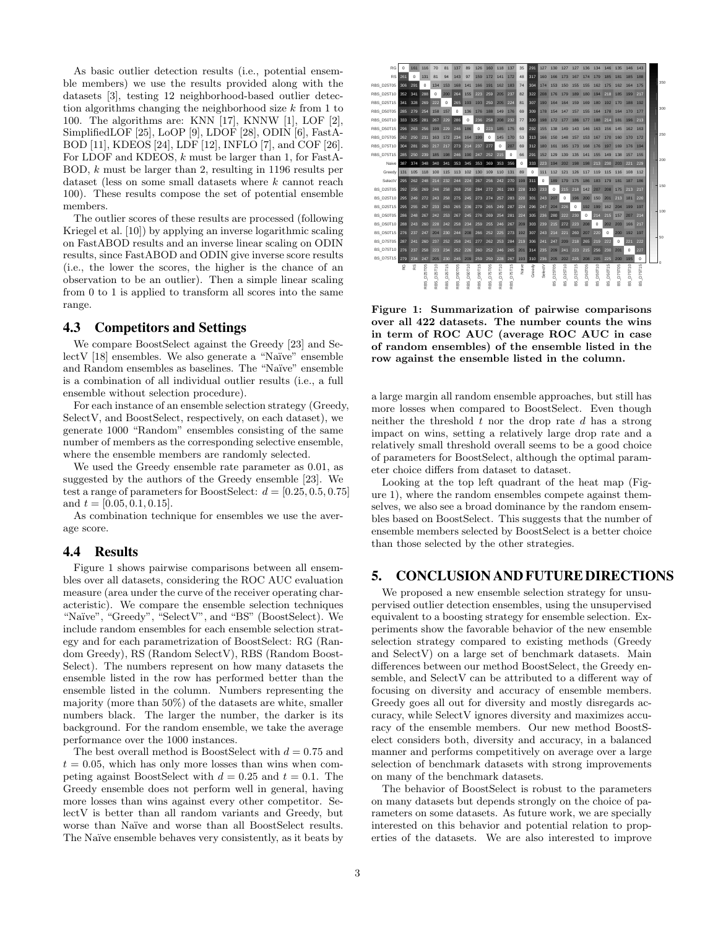As basic outlier detection results (i.e., potential ensemble members) we use the results provided along with the datasets [3], testing 12 neighborhood-based outlier detection algorithms changing the neighborhood size  $k$  from 1 to 100. The algorithms are: KNN [17], KNNW [1], LOF [2], SimplifiedLOF [25], LoOP [9], LDOF [28], ODIN [6], FastA-BOD [11], KDEOS [24], LDF [12], INFLO [7], and COF [26]. For LDOF and KDEOS, k must be larger than 1, for FastA-BOD, k must be larger than 2, resulting in 1196 results per dataset (less on some small datasets where k cannot reach 100). These results compose the set of potential ensemble members.

The outlier scores of these results are processed (following Kriegel et al. [10]) by applying an inverse logarithmic scaling on FastABOD results and an inverse linear scaling on ODIN results, since FastABOD and ODIN give inverse score results (i.e., the lower the scores, the higher is the chance of an observation to be an outlier). Then a simple linear scaling from 0 to 1 is applied to transform all scores into the same range.

## 4.3 Competitors and Settings

We compare BoostSelect against the Greedy [23] and SelectV [18] ensembles. We also generate a "Naïve" ensemble and Random ensembles as baselines. The "Naïve" ensemble is a combination of all individual outlier results (i.e., a full ensemble without selection procedure).

For each instance of an ensemble selection strategy (Greedy, SelectV, and BoostSelect, respectively, on each dataset), we generate 1000 "Random" ensembles consisting of the same number of members as the corresponding selective ensemble, where the ensemble members are randomly selected.

We used the Greedy ensemble rate parameter as 0.01, as suggested by the authors of the Greedy ensemble [23]. We test a range of parameters for BoostSelect:  $d = [0.25, 0.5, 0.75]$ and  $t = [0.05, 0.1, 0.15]$ .

As combination technique for ensembles we use the average score.

## 4.4 Results

Figure 1 shows pairwise comparisons between all ensembles over all datasets, considering the ROC AUC evaluation measure (area under the curve of the receiver operating characteristic). We compare the ensemble selection techniques "Na¨ıve", "Greedy", "SelectV", and "BS" (BoostSelect). We include random ensembles for each ensemble selection strategy and for each parametrization of BoostSelect: RG (Random Greedy), RS (Random SelectV), RBS (Random Boost-Select). The numbers represent on how many datasets the ensemble listed in the row has performed better than the ensemble listed in the column. Numbers representing the majority (more than 50%) of the datasets are white, smaller numbers black. The larger the number, the darker is its background. For the random ensemble, we take the average performance over the 1000 instances.

The best overall method is BoostSelect with  $d = 0.75$  and  $t = 0.05$ , which has only more losses than wins when competing against BoostSelect with  $d = 0.25$  and  $t = 0.1$ . The Greedy ensemble does not perform well in general, having more losses than wins against every other competitor. SelectV is better than all random variants and Greedy, but worse than Naïve and worse than all BoostSelect results. The Naïve ensemble behaves very consistently, as it beats by



Figure 1: Summarization of pairwise comparisons over all 422 datasets. The number counts the wins in term of ROC AUC (average ROC AUC in case of random ensembles) of the ensemble listed in the row against the ensemble listed in the column.

a large margin all random ensemble approaches, but still has more losses when compared to BoostSelect. Even though neither the threshold  $t$  nor the drop rate  $d$  has a strong impact on wins, setting a relatively large drop rate and a relatively small threshold overall seems to be a good choice of parameters for BoostSelect, although the optimal parameter choice differs from dataset to dataset.

Looking at the top left quadrant of the heat map (Figure 1), where the random ensembles compete against themselves, we also see a broad dominance by the random ensembles based on BoostSelect. This suggests that the number of ensemble members selected by BoostSelect is a better choice than those selected by the other strategies.

### 5. CONCLUSION AND FUTURE DIRECTIONS

We proposed a new ensemble selection strategy for unsupervised outlier detection ensembles, using the unsupervised equivalent to a boosting strategy for ensemble selection. Experiments show the favorable behavior of the new ensemble selection strategy compared to existing methods (Greedy and SelectV) on a large set of benchmark datasets. Main differences between our method BoostSelect, the Greedy ensemble, and SelectV can be attributed to a different way of focusing on diversity and accuracy of ensemble members. Greedy goes all out for diversity and mostly disregards accuracy, while SelectV ignores diversity and maximizes accuracy of the ensemble members. Our new method BoostSelect considers both, diversity and accuracy, in a balanced manner and performs competitively on average over a large selection of benchmark datasets with strong improvements on many of the benchmark datasets.

The behavior of BoostSelect is robust to the parameters on many datasets but depends strongly on the choice of parameters on some datasets. As future work, we are specially interested on this behavior and potential relation to properties of the datasets. We are also interested to improve